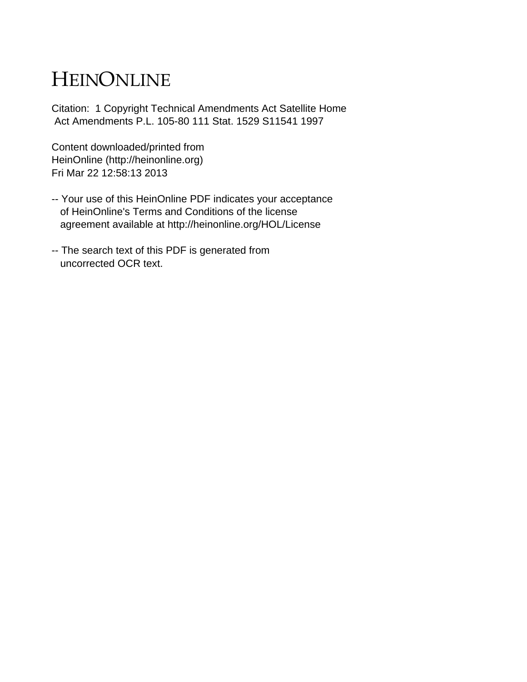# HEINONLINE

Citation: 1 Copyright Technical Amendments Act Satellite Home Act Amendments P.L. 105-80 111 Stat. 1529 S11541 1997

Content downloaded/printed from HeinOnline (http://heinonline.org) Fri Mar 22 12:58:13 2013

- -- Your use of this HeinOnline PDF indicates your acceptance of HeinOnline's Terms and Conditions of the license agreement available at http://heinonline.org/HOL/License
- -- The search text of this PDF is generated from uncorrected OCR text.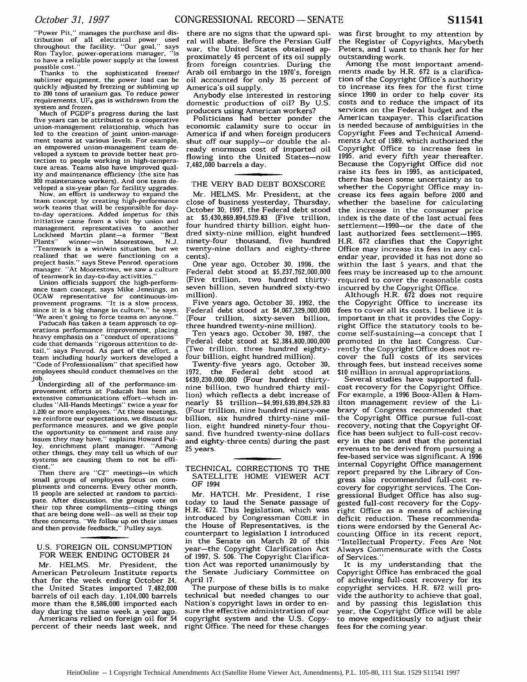"Power Pit." manages the purchase and dis-tribution of all electrical power used throughout the facility. "Our goal," says Ron Taylor, power-operations manager, "is to have a reliable power supply at the lowest possible cost."

Thanks to the sophisticated freezer/ sublimer equipment, the power load can be quickly adjusted by freezing or subliming up to 200 tons of uranium gas. To reduce power requirements,  $UF_6$  gas is withdrawn from the system and frozen.

Much of PGDP's progress during the last five years can be attributed to a cooperative union-management relationship, which has led to the creation of joint union-management teams at various levels. For example, an empowered union-management team developed a system to provide better heat protection to people working in high-temperature areas. Teams also have improved quality and maintenance efficiency (the site has **300** maintenance workers). And one team de-

veloped a six-year plan for facility upgrades. Now, an effort is underway to expand the team concept by creating high-performance work teams that will be responsible for dayto-day operations. Added impetus for this initiative came from a visit by union and management representatives to another<br>Lockheed Martin plant—a former "Best Lockheed Martin plant-a former "Best<br>Plants" winner-in Moorestown N.J. Plants" winner-in Moorestown, N.J. "Teamwork is a win/win situation, but we realized that we were functioning on a project basis," says Steve Penrod, operations manager. "At Moorestown. we saw a culture

of teamwork in day-to-day activities." Union officials support the high-performance team concept, says Mike Jennings, an OCAW representative for continuous-im-provement programs. "It is a slow process, since it is a big change in culture," he says.

"We aren't going to force teams on anyone." Paducah has taken a team approach to operations performance improvement, placing heavy emphasis on a "conduct of operations" code that demands "rigorous attention to detail," says Penrod. As part of the effort, a team including hourly workers developed a "Code of Professionalism" that specified how employees should conduct themselves on the job.

Undergirding all of the performance-improvement efforts at Paducah has been an extensive communications effort-which includes "All-Hands Meetings" twice a year for 1,200 or more employees. "At these meetings, we reinforce our expectations, we discuss our performance measures, and we give people the opportunity to comment and raise any issues they may have," explains Howard Pulley, enrichment plant manager. "Among other things, they may tell us which of our systems are causing them to not be efficient."

Then there are "C2" meetings-in which small groups of employees focus on compliments and concerns. Every other month, 15 people are selected at random to participate. After discussion, the groups vote on their top three compliments—citing things that are being done well-as well as their top three concerns. "We follow up on their issues and then provide feedback," Pulley says.

#### U.S. FOREIGN OIL CONSUMPTION FOR WEEK ENDING OCTOBER 24

Mr. HELMS. Mr. President, the American Petroleum Institute reports that for the week ending October 24, the United States imported 7,482,000 barrels of oil each day, 1,104,000 barrels more than the 8,586,000 imported each day during the same week a year ago.

Americans relied on foreign oil for 54 percent of their needs last week, and

there are no signs that the upward spiral will abate. Before the Persian Gulf war, the United States obtained approximately 45 percent of its oil supply from foreign countries. During the Arab oil embargo in the 1970's, foreign oil accounted for only **35** percent of America's oil supply.

Anybody else interested in restoring domestic production of oil? By U.S. producers using American workers?

Politicians had better ponder the economic calamity sure to occur in America if and when foreign producers shut off our supply-or double the already enormous cost of imported oil flowing into the United States-now 7,482,000 barrels a day.

# THE VERY BAD DEBT BOXSCORE

Mr. HELMS. Mr. President, at the close of business yesterday, Thursday, October **30,** 1997, the Federal debt stood at \$5,430,869,894,529.83 (Five trillion, four hundred thirty billion, eight hundred sixty-nine million, eight hundred ninety-four thousand, five hundred twenty-nine dollars and eighty-three cents).

One year ago, October **30,** 1996, the Federal debt stood at \$5,237,762,000,000 (Five trillion, two hundred thirtyseven billion, seven hundred sixty-two million).

Five years ago, October **30,** 1992, the Federal debt stood at \$4,067,329,000,000 trillion, sixty-seven billion, three hundred twenty-nine million).

Ten years ago, October **30,** 1987, the Federal debt stood at \$2,384,800,000,000 (Two trillion, three hundred eightyfour billion, eight hundred million).

Twenty-five years ago, October **30,** 1972, the Federal debt stood at \$439,230,000,000 (Four hundred thirtynine billion, two hundred thirty million) which reflects a debt increase of nearly \$5 trillion-4,991,639,894,529.83 (Four trillion, nine hundred ninety-one billion, six hundred thirty-nine million, eight hundred ninety-four thousand, five hundred twenty-nine dollars and eighty-three cents) during the past 25 years.

Mr. HATCH. Mr. President, I rise today to laud the Senate passage of H.R. 672. This legislation, which was introduced by Congressman COBLE in the House of Representatives, is the counterpart to legislation I introduced in the Senate on March 20 of this year-the Copyright Clarification Act of 1997, **S.** 506. The Copyright Clarification Act was reported unanimously by the Senate Judiciary Committee on April 17.

The purpose of these bills is to make technical but needed changes to our Nation's copyright laws in order to ensure the effective administration of our copyright system and the U.S. Copyright Office. The need for these changes was first brought to my attention by the Register of Copyrights, Marybeth Peters, and I want to thank her for her outstanding work.

Among the most important amendments made by H.R. 672 is a clarification of the Copyright Office's authority to increase its fees for the first time since 1990 in order to help cover its costs and to reduce the impact of its services on the Federal budget and the American taxpayer. This clarification is needed because of ambiguities in the Copyright Fees and Technical Amendments Act of 1989, which authorized the Copyright Office to increase fees in 1995, and every fifth year thereafter. Because the Copyright Office did not raise its fees in 1995, as anticipated, there has been some uncertainty as to whether the Copyright Office may increase its fees again before 2000 and whether the baseline for calculating the increase in the consumer price index is the date of the last actual fees settlement-1990-or the date of the last authorized fees settlement-1995. H.R. 672 clarifies that the Copyright Office may increase its fees in any calendar year, provided it has not done so within the last 5 years, and that the fees may be increased up to the amount required to cover the reasonable costs incurred by the Copyright Office.

Although H.R. 672 does not require the Copyright Office to increase its fees to cover all its costs, I believe it is important in that it provides the Copyright Office the statutory tools to become self-sustaining-a concept that I promoted in the last Congress. Currently the Copyright Office does not recover the full costs of its services through fees, but instead receives some **\$10** million in annual appropriations.

Several studies have supported fullcost recovery for the Copyright Office. For example, a 1996 Booz-Allen & Hamilton management review of the Library of Congress recommended that the Copyright Office pursue full-cost recovery, noting that the Copyright Office has been subject to full-cost recovery in the past and that the potential revenues to be derived from pursuing a fee-based service was significant. A 1996 internal Copyright Office management report prepared by the Library of Congress also recommended full-cost recovery for copyright services. The Congressional Budget Office has also suggested full-cost recovery for the Copyright Office as a means of achieving deficit reduction. These recommendations were endorsed by the General Accounting Office in its recent report, "Intellectual Property, Fees Are Not Always Commensurate with the Costs of Services."

It is my understanding that the Copyright Office has embraced the goal of achieving full-cost recovery for its copyright services. H.R. 672 will provide the authority to achieve that goal, and by passing this legislation this year, the Copyright Office will be able to move expeditiously to adjust their fees for the coming year.

TECHNICAL CORRECTIONS TO THE SATELLITE HOME VIEWER ACT OF 1994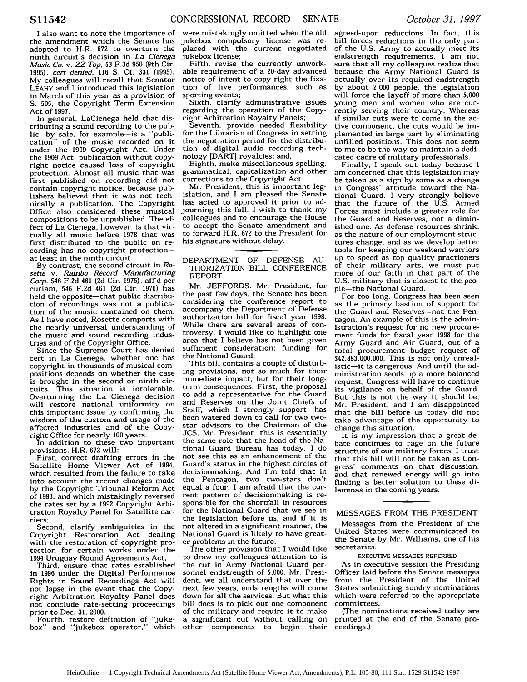I also want to note the importance of the amendment which the Senate has adopted to H.R. 672 to overturn the ninth circuit's decision in *La Cienega Music Co. v. ZZ Top,* **53** F.3d **950** (9th Cir. 1995), *cert denied,* 116 **S.** Ct. 331 (1995). My colleagues will recall that Senator LEAHY and I introduced this legislation in March of this year as a provision of S. 505, the Copyright Term Extension Act of 1997.

In general, LaCienega held that distributing a sound recording to the public-by sale, for example-is a "publication" of the music recorded on it under the 1909 Copyright Act. Under the 1909 Act, publication without copyright notice caused loss of copyright protection. Almost all music that was first published on recording did not contain copyright notice, because publishers believed that it was not technically a publication. The Copyright Office also considered these musical compositions to be unpublished. The effect of La Cienega, however, is that virtually all music before 1978 that was first distributed to the public on recording has no copyright protectionat least in the ninth circuit.

By contrast, the second circuit in *Rosette v. Rainbo Record Manufacturing Corp.* 546 F.2d 461 (2d Cir. 1975), aff d per curiam, 546 F.2d 461 (2d Cir. 1976) has held the opposite-that public distribution of recordings was not a publication of the music contained on them. As I have noted, Rosette comports with the nearly universal understanding of the music and sound recording industries and of the Copyright Office.

Since the Supreme Court has denied cert in La Cienega, whether one has copyright in thousands of musical compositions depends on whether the case is brought in the second or ninth circuits. This situation is intolerable. Overturning the La Cienega decision will restore national uniformity on this important issue by confirming the wisdom of the custom and usage of the affected industries and of the Copyright Office for nearly 100 years.

In addition to these two important provisions, H.R. 672 will:

First, correct drafting errors in the Satellite Home Viewer Act of 1994, which resulted from the failure to take into account the recent changes made by the Copyright Tribunal Reform Act of 1993, and which mistakingly reversed the rates set by a 1992 Copyright Arbitration Royalty Panel for Satellite carriers;

Second, clarify ambiguities in the Copyright Restoration Act dealing with the restoration of copyright protection for certain works under the 1994 Uruguay Round Agreements Act;

Third, ensure that rates established in 1996 under the Digital Performance Rights in Sound Recordings Act will not lapse in the event that the Copyright Arbitration Royalty Panel does not conclude rate-setting proceedings prior to Dec. **31,** 2000.

Fourth, restore definition of "jukebox" and 'jukebox operator," which

were mistakingly omitted when the old jukebox compulsory license was replaced with the current negotiated jukebox license;

Fifth, revise the currently unworkable requirement of a 20-day advanced notice of intent to copy right the fixation of live performances, such as sporting events;

Sixth, clarify administrative issues regarding the operation of the Copyright Arbitration Royalty Panels;

Seventh, provide needed flexibility for the Librarian of Congress in setting the negotiation period for the distribution of digital audio recording technology [DART] royalties; and,

Eighth, make miscellaneous spelling, grammatical, capitalization and other corrections to the Copyright Act.

Mr. President, this is important legislation, and I am pleased the Senate has acted to approved it prior to adjourning this fall. I wish to thank my colleagues and to encourage the House to accept the Senate amendment and to forward H.R. 672 to the President for his signature without delay.

#### DEPARTMENT OF DEFENSE AU-THORIZATION BILL CONFERENCE REPORT

Mr. JEFFORDS. Mr. President, for the past few days, the Senate has been considering the conference report to accompany the Department of Defense authorization bill for fiscal year 1998. While there are several areas of controversy, I would like to highlight one area that I believe has not been given sufficient consideration: funding for the National Guard.

This bill contains a couple of disturbing provisions, not so much for their immediate impact, but for their longterm consequences. First, the proposal to add a representative for the Guard and Reserves on the Joint Chiefs of Staff, which I strongly support, has been watered down to call for two twostar advisors to the Chairman of the JCS. Mr. President, this is essentially the same role that the head of the National Guard Bureau has today. I do not see this as an enhancement of the Guard's status in the highest circles of decisionmaking. And I'm told that in the Pentagon, two two-stars don't equal a four. I am afraid that the current pattern of decisionmaking is responsible for the shortfall in resources for the National Guard that we see in the legislation before us, and if it is not altered in a significant manner, the National Guard is likely to have greater problems in the future.

The other provision that I would like to draw my colleagues attention to is the cut in Army National Guard personnel endstrength of **5,000.** Mr. President, we all understand that over the next few years, endstrengths will come down for all the services. But what this bill does is to pick out one component of the military and require it to make<br>a significant cut without calling on a significant cut without calling on other components to begin their

agreed-upon reductions. In fact, this bill forces reductions in the only part of the U.S. Army to actually meet its endstrength requirements. I am not sure that all my colleagues realize that because the Army National Guard is actually over its required endstrength by about **2,000** people, the legislation will force the layoff of more than **5,000** young men and women who are currently serving their country. Whereas if similar cuts were to come in the active component, the cuts would be implemented in large part by eliminating unfilled positions. This does not seem to me to be the way to maintain a dedicated cadre of military professionals.

Finally, I speak out today because I am concerned that this legislation may be taken as a sign by some as a change in Congress' attitude toward the National Guard. I very strongly believe that the future of the U.S. Armed Forces must include a greater role for the Guard and Reserves, not a diminished one. As defense resources shrink, as the nature of our employment structures change, and as we develop better tools for keeping our weekend warriors up to speed as top quality practioners of their military arts, we must put more of our faith in that part of the U.S. military that is closest to the people-the National Guard.

For too long, Congress has been seen as the primary bastion of support for the Guard and Reserves-not the Pentagon. An example of this is the administration's request for no new procurement funds for fiscal year 1998 for the Army Guard and Air Guard, out of a total procurement budget request of \$42,883,000,000. This is not only unrealistic-it is dangerous. And until the administration sends up a more balanced request, Congress will have to continue its vigilance on behalf of the Guard. But this is not the way it should be, Mr. President, and I am disappointed that the bill before us today did not take advantage of the opportunity to change this situation.

It is my impression that a great debate continues to rage on the future structure of our military forces. I trust that this bill will not be taken as Congress' comments on that discussion, and that renewed energy will go into finding a better solution to these dilemmas in the coming years.

## MESSAGES FROM THE PRESIDENT

Messages from the President of the United States were communicated to the Senate by Mr. Williams, one of his secretaries.

## EXECUTIVE MESSAGES REFERRED

As in executive session the Presiding Officer laid before the Senate messages from the President of the United States submitting sundry nominations which were referred to the appropriate committees.

(The nominations received today are printed at the end of the Senate proceedings.)